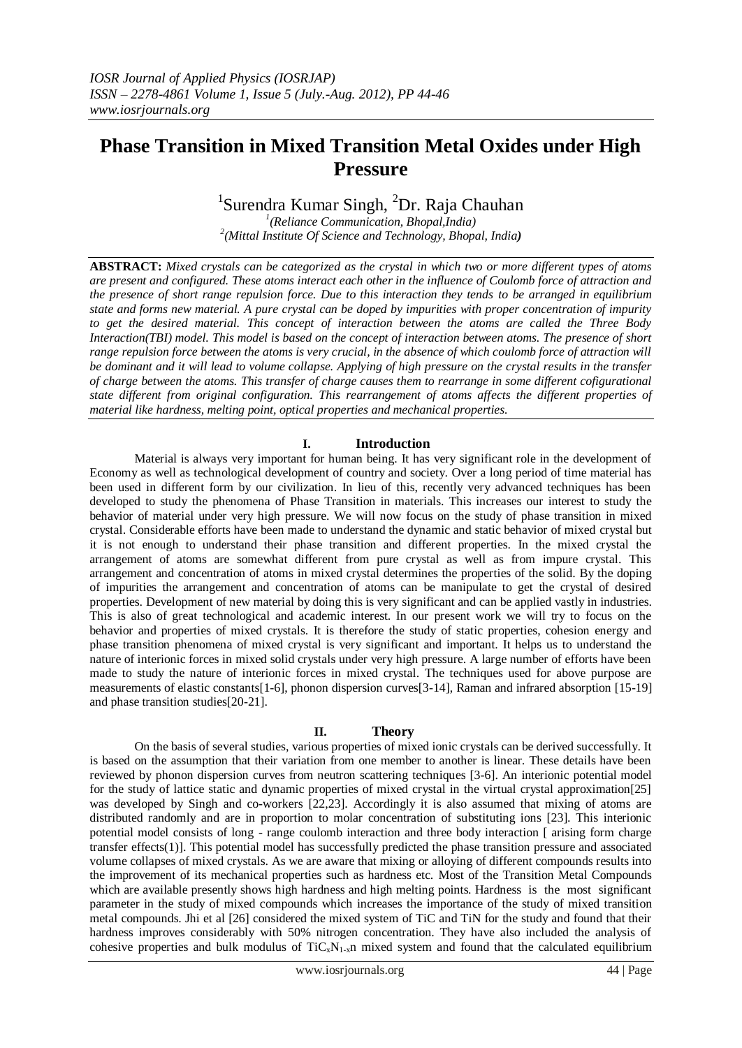# **Phase Transition in Mixed Transition Metal Oxides under High Pressure**

## <sup>1</sup>Surendra Kumar Singh, <sup>2</sup>Dr. Raja Chauhan

*1 (Reliance Communication, Bhopal,India) 2 (Mittal Institute Of Science and Technology, Bhopal, India)*

**ABSTRACT:** *Mixed crystals can be categorized as the crystal in which two or more different types of atoms are present and configured. These atoms interact each other in the influence of Coulomb force of attraction and the presence of short range repulsion force. Due to this interaction they tends to be arranged in equilibrium state and forms new material. A pure crystal can be doped by impurities with proper concentration of impurity to get the desired material. This concept of interaction between the atoms are called the Three Body Interaction(TBI) model. This model is based on the concept of interaction between atoms. The presence of short range repulsion force between the atoms is very crucial, in the absence of which coulomb force of attraction will be dominant and it will lead to volume collapse. Applying of high pressure on the crystal results in the transfer of charge between the atoms. This transfer of charge causes them to rearrange in some different cofigurational state different from original configuration. This rearrangement of atoms affects the different properties of material like hardness, melting point, optical properties and mechanical properties.*

### **I. Introduction**

Material is always very important for human being. It has very significant role in the development of Economy as well as technological development of country and society. Over a long period of time material has been used in different form by our civilization. In lieu of this, recently very advanced techniques has been developed to study the phenomena of Phase Transition in materials. This increases our interest to study the behavior of material under very high pressure. We will now focus on the study of phase transition in mixed crystal. Considerable efforts have been made to understand the dynamic and static behavior of mixed crystal but it is not enough to understand their phase transition and different properties. In the mixed crystal the arrangement of atoms are somewhat different from pure crystal as well as from impure crystal. This arrangement and concentration of atoms in mixed crystal determines the properties of the solid. By the doping of impurities the arrangement and concentration of atoms can be manipulate to get the crystal of desired properties. Development of new material by doing this is very significant and can be applied vastly in industries. This is also of great technological and academic interest. In our present work we will try to focus on the behavior and properties of mixed crystals. It is therefore the study of static properties, cohesion energy and phase transition phenomena of mixed crystal is very significant and important. It helps us to understand the nature of interionic forces in mixed solid crystals under very high pressure. A large number of efforts have been made to study the nature of interionic forces in mixed crystal. The techniques used for above purpose are measurements of elastic constants[1-6], phonon dispersion curves[3-14], Raman and infrared absorption [15-19] and phase transition studies[20-21].

#### **II. Theory**

On the basis of several studies, various properties of mixed ionic crystals can be derived successfully. It is based on the assumption that their variation from one member to another is linear. These details have been reviewed by phonon dispersion curves from neutron scattering techniques [3-6]. An interionic potential model for the study of lattice static and dynamic properties of mixed crystal in the virtual crystal approximation[25] was developed by Singh and co-workers [22,23]. Accordingly it is also assumed that mixing of atoms are distributed randomly and are in proportion to molar concentration of substituting ions [23]. This interionic potential model consists of long - range coulomb interaction and three body interaction [ arising form charge transfer effects(1)]. This potential model has successfully predicted the phase transition pressure and associated volume collapses of mixed crystals. As we are aware that mixing or alloying of different compounds results into the improvement of its mechanical properties such as hardness etc. Most of the Transition Metal Compounds which are available presently shows high hardness and high melting points. Hardness is the most significant parameter in the study of mixed compounds which increases the importance of the study of mixed transition metal compounds. Jhi et al [26] considered the mixed system of TiC and TiN for the study and found that their hardness improves considerably with 50% nitrogen concentration. They have also included the analysis of cohesive properties and bulk modulus of  $TiC_xN_{1-x}$ n mixed system and found that the calculated equilibrium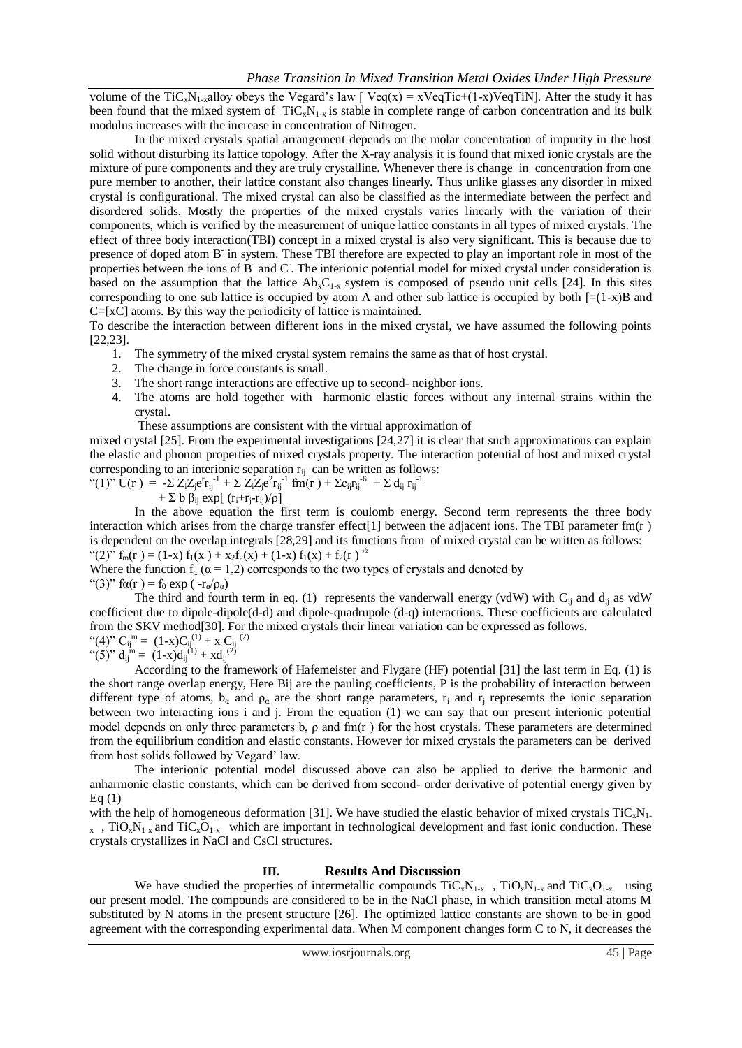volume of the TiC<sub>x</sub>N<sub>1-x</sub>alloy obeys the Vegard's law [ Veq(x) = xVeqTic+(1-x)VeqTiN]. After the study it has been found that the mixed system of  $TiC_xN_{1-x}$  is stable in complete range of carbon concentration and its bulk modulus increases with the increase in concentration of Nitrogen.

In the mixed crystals spatial arrangement depends on the molar concentration of impurity in the host solid without disturbing its lattice topology. After the X-ray analysis it is found that mixed ionic crystals are the mixture of pure components and they are truly crystalline. Whenever there is change in concentration from one pure member to another, their lattice constant also changes linearly. Thus unlike glasses any disorder in mixed crystal is configurational. The mixed crystal can also be classified as the intermediate between the perfect and disordered solids. Mostly the properties of the mixed crystals varies linearly with the variation of their components, which is verified by the measurement of unique lattice constants in all types of mixed crystals. The effect of three body interaction(TBI) concept in a mixed crystal is also very significant. This is because due to presence of doped atom B<sup>-</sup> in system. These TBI therefore are expected to play an important role in most of the properties between the ions of B<sup>-</sup> and C<sup>-</sup>. The interionic potential model for mixed crystal under consideration is based on the assumption that the lattice  $Ab_xC_{1-x}$  system is composed of pseudo unit cells [24]. In this sites corresponding to one sub lattice is occupied by atom A and other sub lattice is occupied by both  $[=(1-x)B$  and C=[xC] atoms. By this way the periodicity of lattice is maintained.

To describe the interaction between different ions in the mixed crystal, we have assumed the following points [22,23].

- 1. The symmetry of the mixed crystal system remains the same as that of host crystal.
- 2. The change in force constants is small.
- 3. The short range interactions are effective up to second- neighbor ions.
- 4. The atoms are hold together with harmonic elastic forces without any internal strains within the crystal.

These assumptions are consistent with the virtual approximation of

mixed crystal [25]. From the experimental investigations [24,27] it is clear that such approximations can explain the elastic and phonon properties of mixed crystals property. The interaction potential of host and mixed crystal corresponding to an interionic separation  $r_{ij}$  can be written as follows:<br>"(1)" U(r) = - $\Sigma Z_z Z_e^r r_{ii}^{-1} + \Sigma Z_z Z_e^r r_{ii}^{-1}$  fm(r) +  $\Sigma c_i r_{ii}^{-6}$  +  $\Sigma d_i r_{ii}^{-1}$ 

$$
``(1)"\ \dot{U}(r) = -\sum Z_i Z_j e^r r_{ij}^{-1} + \sum Z_i Z_j e^2 r_{ij}^{-1} \ \text{fm}(r) + \sum c_{ij} r_{ij}^{-6} + \sum d_{ij} r_{ij}^{-1}
$$

$$
+ \Sigma b \beta_{ij} \exp[(r_i + r_j - r_{ij})/\rho]
$$

In the above equation the first term is coulomb energy. Second term represents the three body interaction which arises from the charge transfer effect[1] between the adjacent ions. The TBI parameter fm(r ) is dependent on the overlap integrals [28,29] and its functions from of mixed crystal can be written as follows: "(2)"  $f_m(r) = (1-x) f_1(x) + x_2 f_2(x) + (1-x) f_1(x) + f_2(r)$ "

Where the function  $f_a$  ( $\alpha$  = 1,2) corresponds to the two types of crystals and denoted by "(3)" fa(r) = f<sub>0</sub> exp ( $-r_a/\rho_a$ )

The third and fourth term in eq. (1) represents the vanderwall energy (vdW) with  $C_{ij}$  and  $d_{ij}$  as vdW coefficient due to dipole-dipole(d-d) and dipole-quadrupole (d-q) interactions. These coefficients are calculated from the SKV method[30]. For the mixed crystals their linear variation can be expressed as follows. m (2)

"(**4**)" 
$$
C_{ij}^{m} = (1-x)C_{ij}^{(1)} + x C_{ij}^{(2)}
$$
  
"(**5**)"  $d_{ij}^{m} = (1-x)d_{ij}^{(1)} + xd_{ij}^{(2)}$ 

According to the framework of Hafemeister and Flygare (HF) potential [31] the last term in Eq. (1) is the short range overlap energy, Here Bij are the pauling coefficients, P is the probability of interaction between different type of atoms,  $b_{\alpha}$  and  $\rho_{\alpha}$  are the short range parameters,  $r_i$  and  $r_j$  represemts the ionic separation between two interacting ions i and j. From the equation (1) we can say that our present interionic potential model depends on only three parameters b,  $\rho$  and fm(r) for the host crystals. These parameters are determined from the equilibrium condition and elastic constants. However for mixed crystals the parameters can be derived from host solids followed by Vegard' law.

The interionic potential model discussed above can also be applied to derive the harmonic and anharmonic elastic constants, which can be derived from second- order derivative of potential energy given by Eq  $(1)$ 

with the help of homogeneous deformation [31]. We have studied the elastic behavior of mixed crystals  $TiC_xN_1$ .  $_{x}$ , TiO<sub>x</sub>N<sub>1-x</sub> and TiC<sub>x</sub>O<sub>1-x</sub> which are important in technological development and fast ionic conduction. These crystals crystallizes in NaCl and CsCl structures.

### **III. Results And Discussion**

We have studied the properties of intermetallic compounds  $\text{TiC}_{x}N_{1-x}$ ,  $\text{TiC}_{x}N_{1-x}$  and  $\text{TiC}_{x}O_{1-x}$  using our present model. The compounds are considered to be in the NaCl phase, in which transition metal atoms M substituted by N atoms in the present structure [26]. The optimized lattice constants are shown to be in good agreement with the corresponding experimental data. When M component changes form C to N, it decreases the